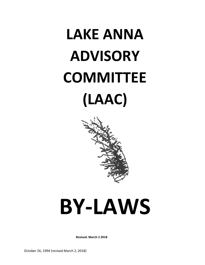## **LAKE ANNA ADVISORY COMMITTEE (LAAC)**



# **BY-LAWS**

**Revised: March 2 2018**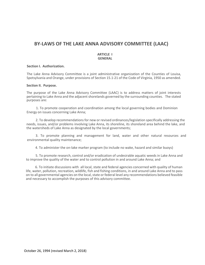### **BY-LAWS OF THE LAKE ANNA ADVISORY COMMITTEE (LAAC)**

#### **ARTICLE I GENERAL**

#### **Section I. Authorization.**

The Lake Anna Advisory Committee is a joint administrative organization of the Counties of Louisa, Spotsylvania and Orange, under provisions of Section 15.1-21 of the Code of Virginia, 1950 as amended.

#### **Section II. Purpose.**

The purpose of the Lake Anna Advisory Committee (LAAC) is to address matters of joint interests pertaining to Lake Anna and the adjacent shorelands governed by the surrounding counties. The stated purposes are:

1. To promote cooperation and coordination among the local governing bodies and Dominion Energy on issues concerning Lake Anna;

2. To develop recommendations for new or revised ordinances/legislation specifically addressing the needs, issues, and/or problems involving Lake Anna, its shoreline, its shoreland area behind the lake, and the watersheds of Lake Anna as designated by the local governments;

3. To promote planning and management for land, water and other natural resources and environmental quality maintenance;

4. To administer the on-lake marker program (to include no wake, hazard and similar buoys)

5. To promote research, control and/or eradication of undesirable aquatic weeds in Lake Anna and to improve the quality of the water and to control pollution in and around Lake Anna; and

6. To initiate discussions with all local, state and federal agencies concerned with quality of human life, water, pollution, recreation, wildlife, fish and fishing conditions, in and around Lake Anna and to pass on to all governmental agencies on the local, state or federal level any recommendations believed feasible and necessary to accomplish the purposes of this advisory committee.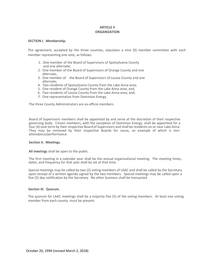#### **ARTICLE II ORGANIZATION**

#### **SECTION I. Membership.**

The agreement, accepted by the three counties, stipulates a nine (9) member committee with each member representing one vote, as follows:

- 1. One member of the Board of Supervisors of Spotsylvania County and one alternate;
- 2. One member of the Board of Supervisors of Orange County and one alternate;
- 3. One member of the Board of Supervisors of Louisa County and one alternate;
- 4. Two residents of Spotsylvania County from the Lake Anna area;
- 5. One resident of Orange County from the Lake Anna area; and,
- 6. Two residents of Louisa County from the Lake-Anna area; and,
- *7.* One representative from Dominion Energy.

The three County Administrators are ex-officio members.

Board of Supervisors members shall be appointed by and serve at the discretion of their respective governing body. Citizen members, with the exception of Dominion Energy, shall be appointed for a four (4) year term by their respective Board of Supervisors and shall be residents on or near Lake Anna. They may be removed by their respective Boards for cause, an example of which is nonattendance/performance.

#### **Section II***.* **Meetings.**

All meetings shall be open to the public.

The first meeting in a calendar year shall be the annual organizational meeting. The meeting times, dates, and frequency for that year shall be set at that time.

Special meetings may be called by two (2) voting members of LAAC and shall be called by the Secretary upon receipt of a written agenda signed by the two members. Special meetings may be called upon a five (5) day notification by the Secretary. No other business shall be transacted.

#### **Section III. Quorum.**

The quorum for LAAC meetings shall be a majority five (5) of the voting members. At least one voting member from each county must be present.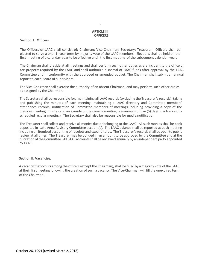#### **ARTICLE III OFFICERS**

#### **Section I. Officers.**

The Officers of LAAC shall consist of: Chairman; Vice-Chairman; Secretary; Treasurer. Officers shall be elected to serve a one (1) year term by majority vote of the LAAC members. Elections shall be held on the first meeting of a calendar year to be effective until the first meeting of the subsequent calendar year.

The Chairman shall preside at all meetings and shall perform such other duties as are incident to the office or are properly required by the LAAC and shall authorize dispersal of LAAC funds after approval by the LAAC Committee and in conformity with the approved or amended budget. The Chairman shall submit an annual report to each Board of Supervisors.

The Vice-Chairman shall exercise the authority of an absent Chairman, and may perform such other duties as assigned by the Chairman.

The Secretary shall be responsible for: maintaining all LAAC records (excluding the Treasurer's records); taking and publishing the minutes of each meeting; maintaining a LAAC directory and Committee members' attendance records; notification of Committee members of meetings including providing a copy of the previous meeting minutes and an agenda of the coming meeting (a minimum of five (5) days in advance of a scheduled regular meeting). The Secretary shall also be responsible for media notification.

The Treasurer shall collect and receive all monies due or belonging to the LAAC. All such monies shall be bank deposited in Lake Anna Advisory Committee account(s). The LAAC balance shall be reported at each meeting including an itemized accounting of receipts and expenditures. The Treasurer's records shall be open to public review at all times. The Treasurer may be bonded in an amount to be approved by the Committee and at the discretion of the Committee. All LAAC accounts shall be reviewed annually by an independent party appointed by LAAC.

#### **Section II. Vacancies.**

A vacancy that occurs among the officers (except the Chairman), shall be filled by a majority vote of the LAAC at their first meeting following the creation of such a vacancy. The Vice-Chairman will fill the unexpired term of the Chairman.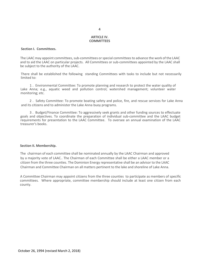#### **ARTICLE IV. COMMITTEES**

#### **Section I. Committees.**

The LAAC may appoint committees, sub-committees or special committees to advance the work of the LAAC and to aid the LAAC on particular projects. All Committees or sub-committees appointed by the LAAC shall be subject to the authority of the LAAC.

There shall be established the following standing Committees with tasks to include but not necessarily limited to:

1 . Environmental Committee: To promote planning and research to protect the water quality of Lake Anna; e.g., aquatic weed and pollution control; watershed management; volunteer water monitoring; etc.

2 . Safety Committee: To promote boating safety and police, fire, and rescue services for Lake Anna and its citizens and to administer the Lake Anna buoy programs.

3 . Budget/Finance Committee: To aggressively seek grants and other funding sources to effectuate goals and objectives. To coordinate the preparation of individual sub-committee and the LAAC budget requirements for presentation to the LAAC Committee. To oversee an annual examination of the LAAC treasurer's books.

#### **Section II. Membership.**

The chairman of each committee shall be nominated annually by the LAAC Chairman and approved by a majority vote of LAAC.. The Chairman of each Committee shall be either a LAAC member or a citizen from the three counties. The Dominion Energy representative shall be an advisor to the LAAC Chairman and Committee Chairman on all matters pertinent to the lake and shoreline of Lake Anna.

A Committee Chairman may appoint citizens from the three counties to participate as members of specific committees. Where appropriate, committee membership should include at least one citizen from each county.